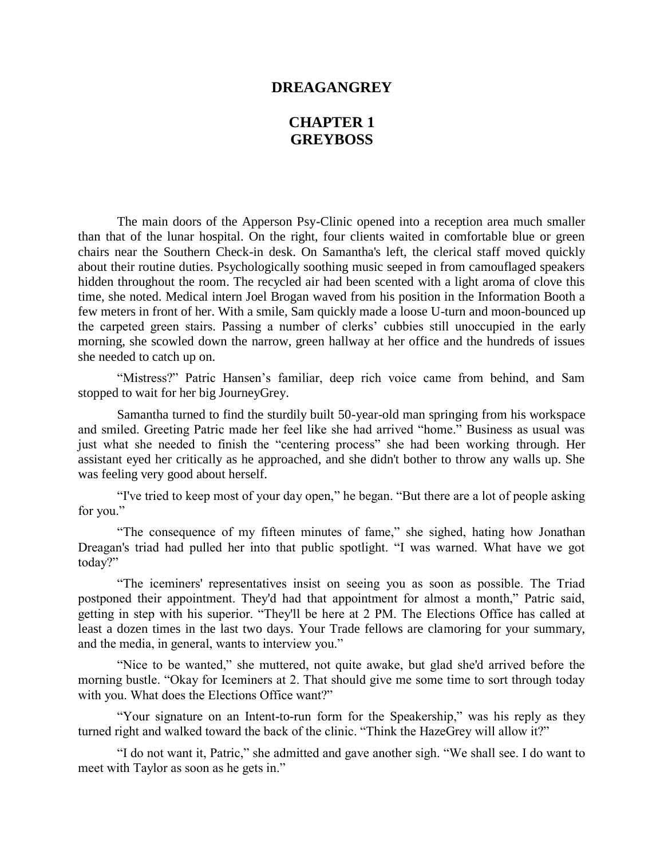## **DREAGANGREY**

## **CHAPTER 1 GREYBOSS**

The main doors of the Apperson Psy-Clinic opened into a reception area much smaller than that of the lunar hospital. On the right, four clients waited in comfortable blue or green chairs near the Southern Check-in desk. On Samantha's left, the clerical staff moved quickly about their routine duties. Psychologically soothing music seeped in from camouflaged speakers hidden throughout the room. The recycled air had been scented with a light aroma of clove this time, she noted. Medical intern Joel Brogan waved from his position in the Information Booth a few meters in front of her. With a smile, Sam quickly made a loose U-turn and moon-bounced up the carpeted green stairs. Passing a number of clerks' cubbies still unoccupied in the early morning, she scowled down the narrow, green hallway at her office and the hundreds of issues she needed to catch up on.

"Mistress?" Patric Hansen's familiar, deep rich voice came from behind, and Sam stopped to wait for her big JourneyGrey.

Samantha turned to find the sturdily built 50-year-old man springing from his workspace and smiled. Greeting Patric made her feel like she had arrived "home." Business as usual was just what she needed to finish the "centering process" she had been working through. Her assistant eyed her critically as he approached, and she didn't bother to throw any walls up. She was feeling very good about herself.

"I've tried to keep most of your day open," he began. "But there are a lot of people asking for you."

"The consequence of my fifteen minutes of fame," she sighed, hating how Jonathan Dreagan's triad had pulled her into that public spotlight. "I was warned. What have we got today?"

"The iceminers' representatives insist on seeing you as soon as possible. The Triad postponed their appointment. They'd had that appointment for almost a month," Patric said, getting in step with his superior. "They'll be here at 2 PM. The Elections Office has called at least a dozen times in the last two days. Your Trade fellows are clamoring for your summary, and the media, in general, wants to interview you."

"Nice to be wanted," she muttered, not quite awake, but glad she'd arrived before the morning bustle. "Okay for Iceminers at 2. That should give me some time to sort through today with you. What does the Elections Office want?"

"Your signature on an Intent-to-run form for the Speakership," was his reply as they turned right and walked toward the back of the clinic. "Think the HazeGrey will allow it?"

"I do not want it, Patric," she admitted and gave another sigh. "We shall see. I do want to meet with Taylor as soon as he gets in."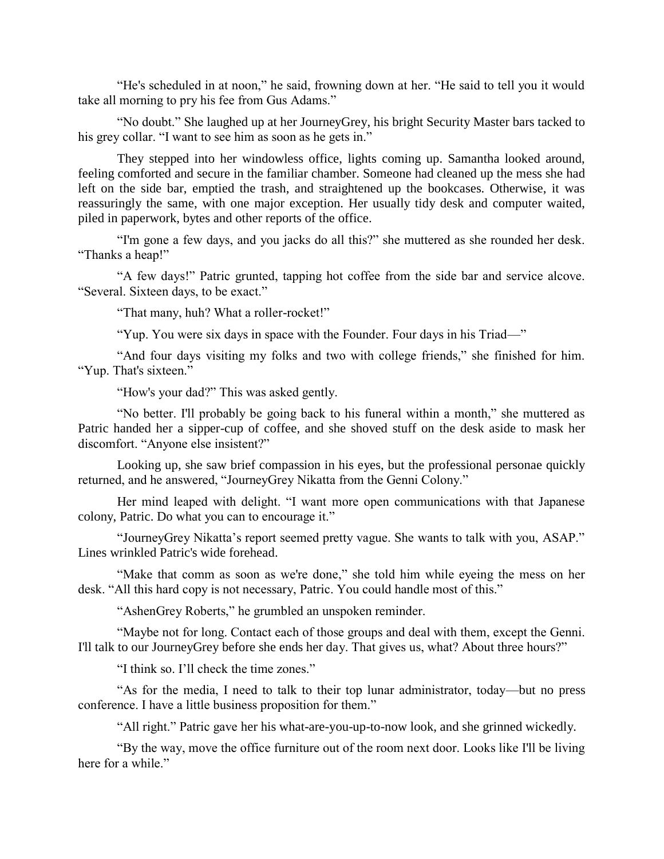"He's scheduled in at noon," he said, frowning down at her. "He said to tell you it would take all morning to pry his fee from Gus Adams."

"No doubt." She laughed up at her JourneyGrey, his bright Security Master bars tacked to his grey collar. "I want to see him as soon as he gets in."

They stepped into her windowless office, lights coming up. Samantha looked around, feeling comforted and secure in the familiar chamber. Someone had cleaned up the mess she had left on the side bar, emptied the trash, and straightened up the bookcases. Otherwise, it was reassuringly the same, with one major exception. Her usually tidy desk and computer waited, piled in paperwork, bytes and other reports of the office.

"I'm gone a few days, and you jacks do all this?" she muttered as she rounded her desk. "Thanks a heap!"

"A few days!" Patric grunted, tapping hot coffee from the side bar and service alcove. "Several. Sixteen days, to be exact."

"That many, huh? What a roller-rocket!"

"Yup. You were six days in space with the Founder. Four days in his Triad—"

"And four days visiting my folks and two with college friends," she finished for him. "Yup. That's sixteen."

"How's your dad?" This was asked gently.

"No better. I'll probably be going back to his funeral within a month," she muttered as Patric handed her a sipper-cup of coffee, and she shoved stuff on the desk aside to mask her discomfort. "Anyone else insistent?"

Looking up, she saw brief compassion in his eyes, but the professional personae quickly returned, and he answered, "JourneyGrey Nikatta from the Genni Colony."

Her mind leaped with delight. "I want more open communications with that Japanese colony, Patric. Do what you can to encourage it."

"JourneyGrey Nikatta's report seemed pretty vague. She wants to talk with you, ASAP." Lines wrinkled Patric's wide forehead.

"Make that comm as soon as we're done," she told him while eyeing the mess on her desk. "All this hard copy is not necessary, Patric. You could handle most of this."

"AshenGrey Roberts," he grumbled an unspoken reminder.

"Maybe not for long. Contact each of those groups and deal with them, except the Genni. I'll talk to our JourneyGrey before she ends her day. That gives us, what? About three hours?"

"I think so. I'll check the time zones."

"As for the media, I need to talk to their top lunar administrator, today—but no press conference. I have a little business proposition for them."

"All right." Patric gave her his what-are-you-up-to-now look, and she grinned wickedly.

"By the way, move the office furniture out of the room next door. Looks like I'll be living here for a while."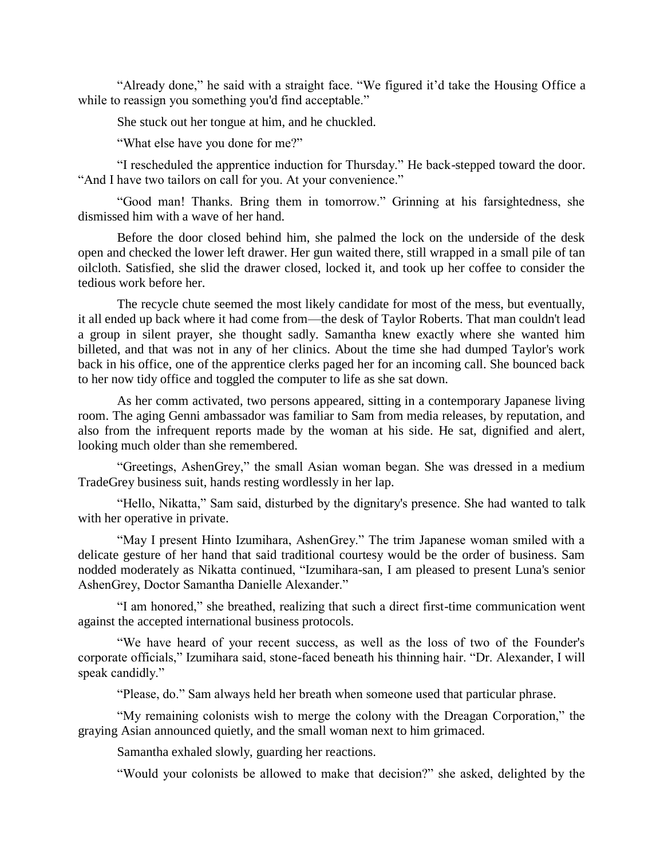"Already done," he said with a straight face. "We figured it'd take the Housing Office a while to reassign you something you'd find acceptable."

She stuck out her tongue at him, and he chuckled.

"What else have you done for me?"

"I rescheduled the apprentice induction for Thursday." He back-stepped toward the door. "And I have two tailors on call for you. At your convenience."

"Good man! Thanks. Bring them in tomorrow." Grinning at his farsightedness, she dismissed him with a wave of her hand.

Before the door closed behind him, she palmed the lock on the underside of the desk open and checked the lower left drawer. Her gun waited there, still wrapped in a small pile of tan oilcloth. Satisfied, she slid the drawer closed, locked it, and took up her coffee to consider the tedious work before her.

The recycle chute seemed the most likely candidate for most of the mess, but eventually, it all ended up back where it had come from—the desk of Taylor Roberts. That man couldn't lead a group in silent prayer, she thought sadly. Samantha knew exactly where she wanted him billeted, and that was not in any of her clinics. About the time she had dumped Taylor's work back in his office, one of the apprentice clerks paged her for an incoming call. She bounced back to her now tidy office and toggled the computer to life as she sat down.

As her comm activated, two persons appeared, sitting in a contemporary Japanese living room. The aging Genni ambassador was familiar to Sam from media releases, by reputation, and also from the infrequent reports made by the woman at his side. He sat, dignified and alert, looking much older than she remembered.

"Greetings, AshenGrey," the small Asian woman began. She was dressed in a medium TradeGrey business suit, hands resting wordlessly in her lap.

"Hello, Nikatta," Sam said, disturbed by the dignitary's presence. She had wanted to talk with her operative in private.

"May I present Hinto Izumihara, AshenGrey." The trim Japanese woman smiled with a delicate gesture of her hand that said traditional courtesy would be the order of business. Sam nodded moderately as Nikatta continued, "Izumihara-san, I am pleased to present Luna's senior AshenGrey, Doctor Samantha Danielle Alexander."

"I am honored," she breathed, realizing that such a direct first-time communication went against the accepted international business protocols.

"We have heard of your recent success, as well as the loss of two of the Founder's corporate officials," Izumihara said, stone-faced beneath his thinning hair. "Dr. Alexander, I will speak candidly."

"Please, do." Sam always held her breath when someone used that particular phrase.

"My remaining colonists wish to merge the colony with the Dreagan Corporation," the graying Asian announced quietly, and the small woman next to him grimaced.

Samantha exhaled slowly, guarding her reactions.

"Would your colonists be allowed to make that decision?" she asked, delighted by the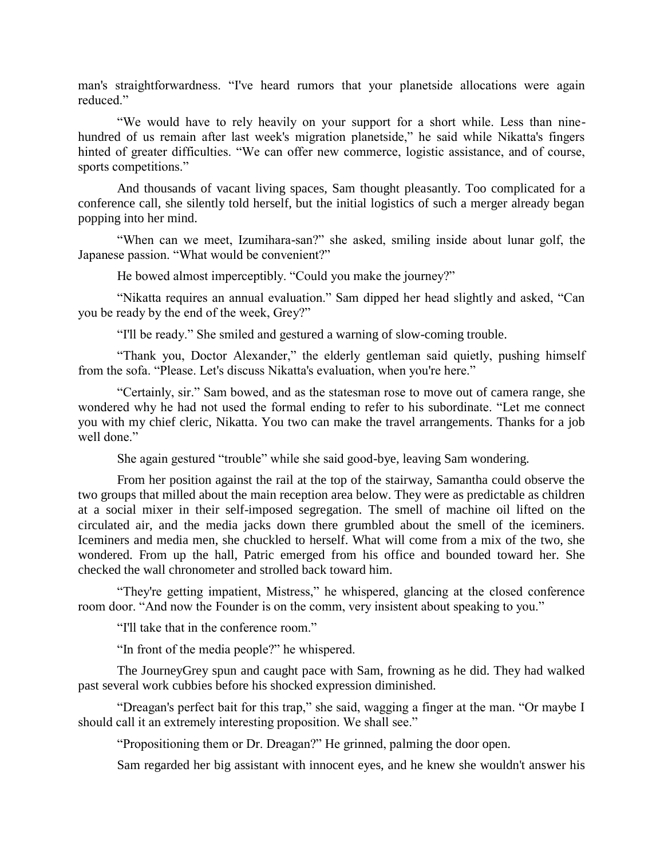man's straightforwardness. "I've heard rumors that your planetside allocations were again reduced."

"We would have to rely heavily on your support for a short while. Less than ninehundred of us remain after last week's migration planetside," he said while Nikatta's fingers hinted of greater difficulties. "We can offer new commerce, logistic assistance, and of course, sports competitions."

And thousands of vacant living spaces, Sam thought pleasantly. Too complicated for a conference call, she silently told herself, but the initial logistics of such a merger already began popping into her mind.

"When can we meet, Izumihara-san?" she asked, smiling inside about lunar golf, the Japanese passion. "What would be convenient?"

He bowed almost imperceptibly. "Could you make the journey?"

"Nikatta requires an annual evaluation." Sam dipped her head slightly and asked, "Can you be ready by the end of the week, Grey?"

"I'll be ready." She smiled and gestured a warning of slow-coming trouble.

"Thank you, Doctor Alexander," the elderly gentleman said quietly, pushing himself from the sofa. "Please. Let's discuss Nikatta's evaluation, when you're here."

"Certainly, sir." Sam bowed, and as the statesman rose to move out of camera range, she wondered why he had not used the formal ending to refer to his subordinate. "Let me connect you with my chief cleric, Nikatta. You two can make the travel arrangements. Thanks for a job well done."

She again gestured "trouble" while she said good-bye, leaving Sam wondering.

From her position against the rail at the top of the stairway, Samantha could observe the two groups that milled about the main reception area below. They were as predictable as children at a social mixer in their self-imposed segregation. The smell of machine oil lifted on the circulated air, and the media jacks down there grumbled about the smell of the iceminers. Iceminers and media men, she chuckled to herself. What will come from a mix of the two, she wondered. From up the hall, Patric emerged from his office and bounded toward her. She checked the wall chronometer and strolled back toward him.

"They're getting impatient, Mistress," he whispered, glancing at the closed conference room door. "And now the Founder is on the comm, very insistent about speaking to you."

"I'll take that in the conference room."

"In front of the media people?" he whispered.

The JourneyGrey spun and caught pace with Sam, frowning as he did. They had walked past several work cubbies before his shocked expression diminished.

"Dreagan's perfect bait for this trap," she said, wagging a finger at the man. "Or maybe I should call it an extremely interesting proposition. We shall see."

"Propositioning them or Dr. Dreagan?" He grinned, palming the door open.

Sam regarded her big assistant with innocent eyes, and he knew she wouldn't answer his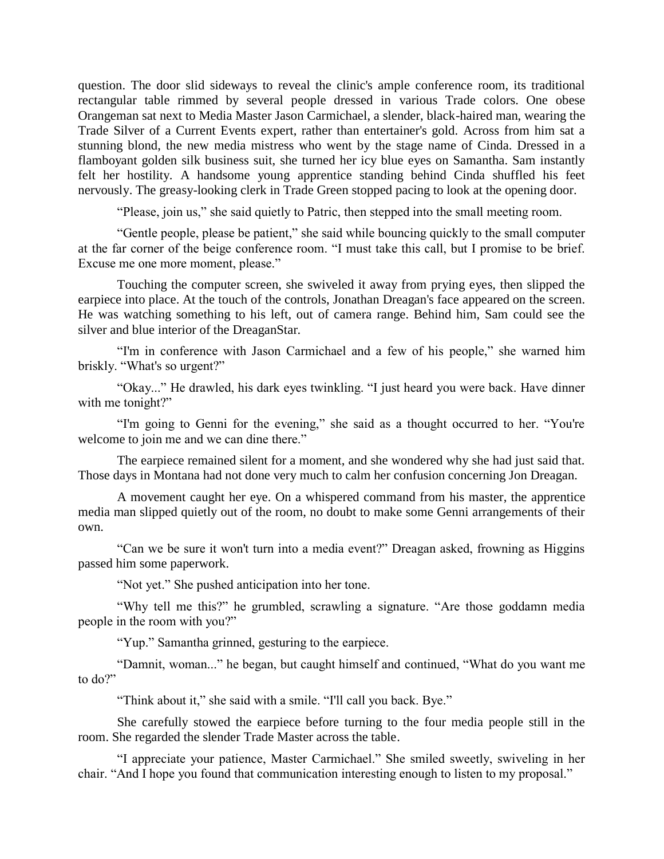question. The door slid sideways to reveal the clinic's ample conference room, its traditional rectangular table rimmed by several people dressed in various Trade colors. One obese Orangeman sat next to Media Master Jason Carmichael, a slender, black-haired man, wearing the Trade Silver of a Current Events expert, rather than entertainer's gold. Across from him sat a stunning blond, the new media mistress who went by the stage name of Cinda. Dressed in a flamboyant golden silk business suit, she turned her icy blue eyes on Samantha. Sam instantly felt her hostility. A handsome young apprentice standing behind Cinda shuffled his feet nervously. The greasy-looking clerk in Trade Green stopped pacing to look at the opening door.

"Please, join us," she said quietly to Patric, then stepped into the small meeting room.

"Gentle people, please be patient," she said while bouncing quickly to the small computer at the far corner of the beige conference room. "I must take this call, but I promise to be brief. Excuse me one more moment, please."

Touching the computer screen, she swiveled it away from prying eyes, then slipped the earpiece into place. At the touch of the controls, Jonathan Dreagan's face appeared on the screen. He was watching something to his left, out of camera range. Behind him, Sam could see the silver and blue interior of the DreaganStar.

"I'm in conference with Jason Carmichael and a few of his people," she warned him briskly. "What's so urgent?"

"Okay..." He drawled, his dark eyes twinkling. "I just heard you were back. Have dinner with me tonight?"

"I'm going to Genni for the evening," she said as a thought occurred to her. "You're welcome to join me and we can dine there."

The earpiece remained silent for a moment, and she wondered why she had just said that. Those days in Montana had not done very much to calm her confusion concerning Jon Dreagan.

A movement caught her eye. On a whispered command from his master, the apprentice media man slipped quietly out of the room, no doubt to make some Genni arrangements of their own.

"Can we be sure it won't turn into a media event?" Dreagan asked, frowning as Higgins passed him some paperwork.

"Not yet." She pushed anticipation into her tone.

"Why tell me this?" he grumbled, scrawling a signature. "Are those goddamn media people in the room with you?"

"Yup." Samantha grinned, gesturing to the earpiece.

"Damnit, woman..." he began, but caught himself and continued, "What do you want me to do?"

"Think about it," she said with a smile. "I'll call you back. Bye."

She carefully stowed the earpiece before turning to the four media people still in the room. She regarded the slender Trade Master across the table.

"I appreciate your patience, Master Carmichael." She smiled sweetly, swiveling in her chair. "And I hope you found that communication interesting enough to listen to my proposal."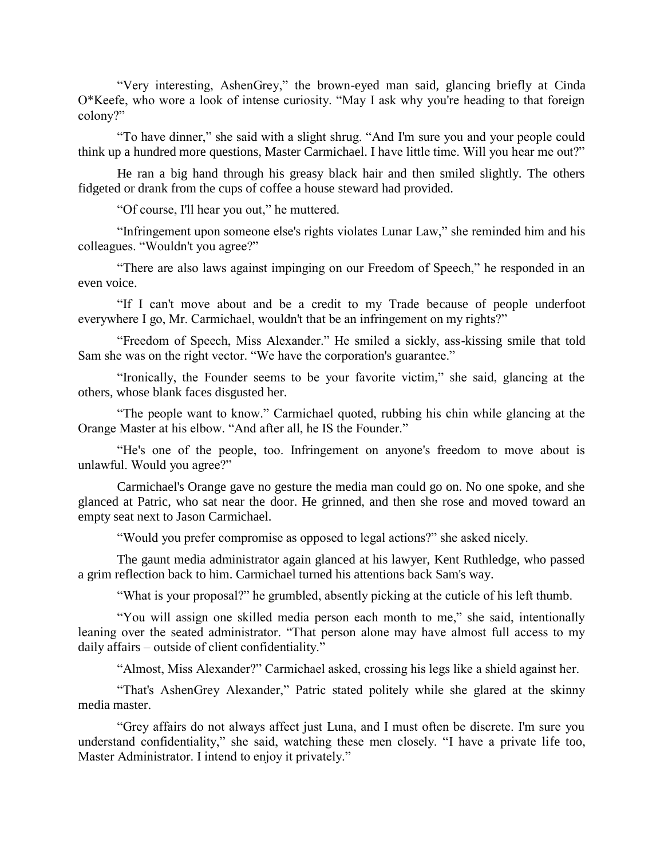"Very interesting, AshenGrey," the brown-eyed man said, glancing briefly at Cinda O\*Keefe, who wore a look of intense curiosity. "May I ask why you're heading to that foreign colony?"

"To have dinner," she said with a slight shrug. "And I'm sure you and your people could think up a hundred more questions, Master Carmichael. I have little time. Will you hear me out?"

He ran a big hand through his greasy black hair and then smiled slightly. The others fidgeted or drank from the cups of coffee a house steward had provided.

"Of course, I'll hear you out," he muttered.

"Infringement upon someone else's rights violates Lunar Law," she reminded him and his colleagues. "Wouldn't you agree?"

"There are also laws against impinging on our Freedom of Speech," he responded in an even voice.

"If I can't move about and be a credit to my Trade because of people underfoot everywhere I go, Mr. Carmichael, wouldn't that be an infringement on my rights?"

"Freedom of Speech, Miss Alexander." He smiled a sickly, ass-kissing smile that told Sam she was on the right vector. "We have the corporation's guarantee."

"Ironically, the Founder seems to be your favorite victim," she said, glancing at the others, whose blank faces disgusted her.

"The people want to know." Carmichael quoted, rubbing his chin while glancing at the Orange Master at his elbow. "And after all, he IS the Founder."

"He's one of the people, too. Infringement on anyone's freedom to move about is unlawful. Would you agree?"

Carmichael's Orange gave no gesture the media man could go on. No one spoke, and she glanced at Patric, who sat near the door. He grinned, and then she rose and moved toward an empty seat next to Jason Carmichael.

"Would you prefer compromise as opposed to legal actions?" she asked nicely.

The gaunt media administrator again glanced at his lawyer, Kent Ruthledge, who passed a grim reflection back to him. Carmichael turned his attentions back Sam's way.

"What is your proposal?" he grumbled, absently picking at the cuticle of his left thumb.

"You will assign one skilled media person each month to me," she said, intentionally leaning over the seated administrator. "That person alone may have almost full access to my daily affairs – outside of client confidentiality."

"Almost, Miss Alexander?" Carmichael asked, crossing his legs like a shield against her.

"That's AshenGrey Alexander," Patric stated politely while she glared at the skinny media master.

"Grey affairs do not always affect just Luna, and I must often be discrete. I'm sure you understand confidentiality," she said, watching these men closely. "I have a private life too, Master Administrator. I intend to enjoy it privately."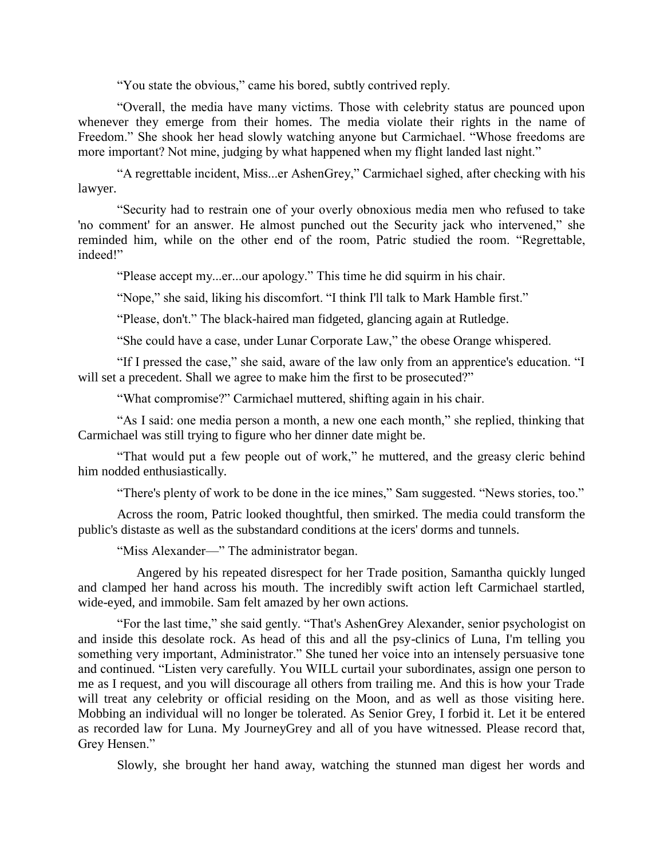"You state the obvious," came his bored, subtly contrived reply.

"Overall, the media have many victims. Those with celebrity status are pounced upon whenever they emerge from their homes. The media violate their rights in the name of Freedom." She shook her head slowly watching anyone but Carmichael. "Whose freedoms are more important? Not mine, judging by what happened when my flight landed last night."

"A regrettable incident, Miss...er AshenGrey," Carmichael sighed, after checking with his lawyer.

"Security had to restrain one of your overly obnoxious media men who refused to take 'no comment' for an answer. He almost punched out the Security jack who intervened," she reminded him, while on the other end of the room, Patric studied the room. "Regrettable, indeed!"

"Please accept my...er...our apology." This time he did squirm in his chair.

"Nope," she said, liking his discomfort. "I think I'll talk to Mark Hamble first."

"Please, don't." The black-haired man fidgeted, glancing again at Rutledge.

"She could have a case, under Lunar Corporate Law," the obese Orange whispered.

"If I pressed the case," she said, aware of the law only from an apprentice's education. "I will set a precedent. Shall we agree to make him the first to be prosecuted?"

"What compromise?" Carmichael muttered, shifting again in his chair.

"As I said: one media person a month, a new one each month," she replied, thinking that Carmichael was still trying to figure who her dinner date might be.

"That would put a few people out of work," he muttered, and the greasy cleric behind him nodded enthusiastically.

"There's plenty of work to be done in the ice mines," Sam suggested. "News stories, too."

Across the room, Patric looked thoughtful, then smirked. The media could transform the public's distaste as well as the substandard conditions at the icers' dorms and tunnels.

"Miss Alexander—" The administrator began.

 Angered by his repeated disrespect for her Trade position, Samantha quickly lunged and clamped her hand across his mouth. The incredibly swift action left Carmichael startled, wide-eyed, and immobile. Sam felt amazed by her own actions.

"For the last time," she said gently. "That's AshenGrey Alexander, senior psychologist on and inside this desolate rock. As head of this and all the psy-clinics of Luna, I'm telling you something very important, Administrator." She tuned her voice into an intensely persuasive tone and continued. "Listen very carefully. You WILL curtail your subordinates, assign one person to me as I request, and you will discourage all others from trailing me. And this is how your Trade will treat any celebrity or official residing on the Moon, and as well as those visiting here. Mobbing an individual will no longer be tolerated. As Senior Grey, I forbid it. Let it be entered as recorded law for Luna. My JourneyGrey and all of you have witnessed. Please record that, Grey Hensen."

Slowly, she brought her hand away, watching the stunned man digest her words and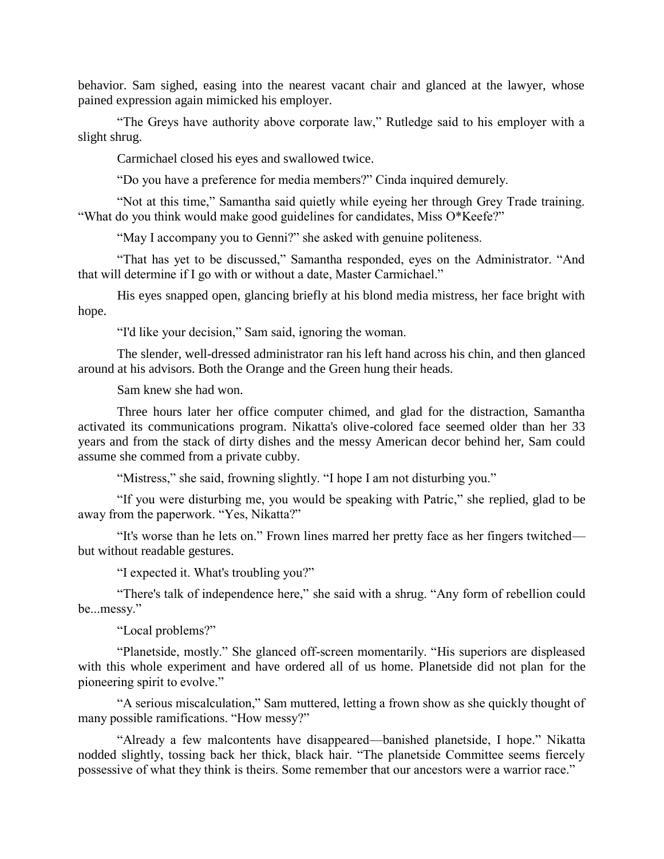behavior. Sam sighed, easing into the nearest vacant chair and glanced at the lawyer, whose pained expression again mimicked his employer.

"The Greys have authority above corporate law," Rutledge said to his employer with a slight shrug.

Carmichael closed his eyes and swallowed twice.

"Do you have a preference for media members?" Cinda inquired demurely.

"Not at this time," Samantha said quietly while eyeing her through Grey Trade training. "What do you think would make good guidelines for candidates, Miss O\*Keefe?"

"May I accompany you to Genni?" she asked with genuine politeness.

"That has yet to be discussed," Samantha responded, eyes on the Administrator. "And that will determine if I go with or without a date, Master Carmichael."

His eyes snapped open, glancing briefly at his blond media mistress, her face bright with hope.

"I'd like your decision," Sam said, ignoring the woman.

The slender, well-dressed administrator ran his left hand across his chin, and then glanced around at his advisors. Both the Orange and the Green hung their heads.

Sam knew she had won.

Three hours later her office computer chimed, and glad for the distraction, Samantha activated its communications program. Nikatta's olive-colored face seemed older than her 33 years and from the stack of dirty dishes and the messy American decor behind her, Sam could assume she commed from a private cubby.

"Mistress," she said, frowning slightly. "I hope I am not disturbing you."

"If you were disturbing me, you would be speaking with Patric," she replied, glad to be away from the paperwork. "Yes, Nikatta?"

"It's worse than he lets on." Frown lines marred her pretty face as her fingers twitched but without readable gestures.

"I expected it. What's troubling you?"

"There's talk of independence here," she said with a shrug. "Any form of rebellion could be...messy."

"Local problems?"

"Planetside, mostly." She glanced off-screen momentarily. "His superiors are displeased with this whole experiment and have ordered all of us home. Planetside did not plan for the pioneering spirit to evolve."

"A serious miscalculation," Sam muttered, letting a frown show as she quickly thought of many possible ramifications. "How messy?"

"Already a few malcontents have disappeared—banished planetside, I hope." Nikatta nodded slightly, tossing back her thick, black hair. "The planetside Committee seems fiercely possessive of what they think is theirs. Some remember that our ancestors were a warrior race."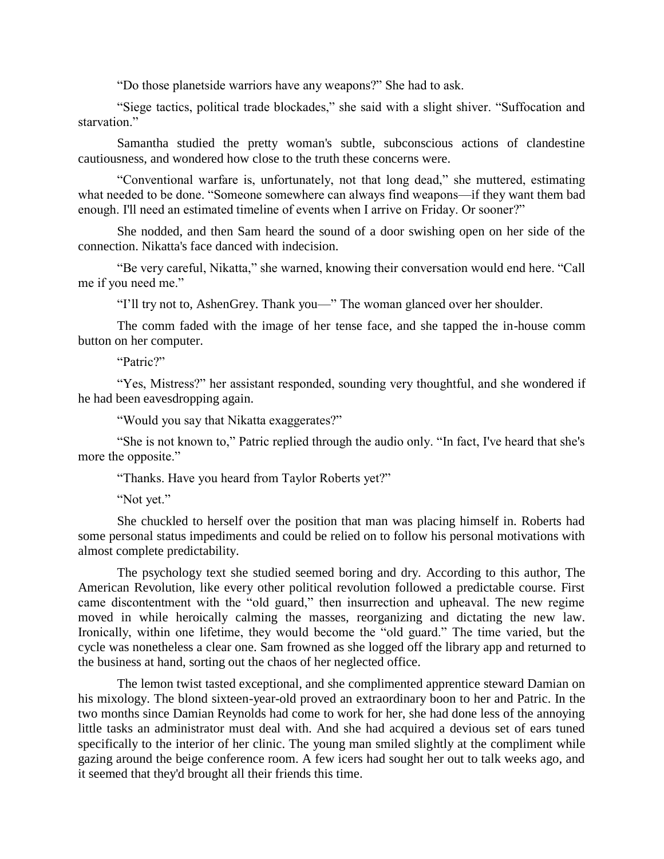"Do those planetside warriors have any weapons?" She had to ask.

"Siege tactics, political trade blockades," she said with a slight shiver. "Suffocation and starvation."

Samantha studied the pretty woman's subtle, subconscious actions of clandestine cautiousness, and wondered how close to the truth these concerns were.

"Conventional warfare is, unfortunately, not that long dead," she muttered, estimating what needed to be done. "Someone somewhere can always find weapons—if they want them bad enough. I'll need an estimated timeline of events when I arrive on Friday. Or sooner?"

She nodded, and then Sam heard the sound of a door swishing open on her side of the connection. Nikatta's face danced with indecision.

"Be very careful, Nikatta," she warned, knowing their conversation would end here. "Call me if you need me."

"I'll try not to, AshenGrey. Thank you—" The woman glanced over her shoulder.

The comm faded with the image of her tense face, and she tapped the in-house comm button on her computer.

"Patric?"

"Yes, Mistress?" her assistant responded, sounding very thoughtful, and she wondered if he had been eavesdropping again.

"Would you say that Nikatta exaggerates?"

"She is not known to," Patric replied through the audio only. "In fact, I've heard that she's more the opposite."

"Thanks. Have you heard from Taylor Roberts yet?"

"Not yet."

She chuckled to herself over the position that man was placing himself in. Roberts had some personal status impediments and could be relied on to follow his personal motivations with almost complete predictability.

The psychology text she studied seemed boring and dry. According to this author, The American Revolution, like every other political revolution followed a predictable course. First came discontentment with the "old guard," then insurrection and upheaval. The new regime moved in while heroically calming the masses, reorganizing and dictating the new law. Ironically, within one lifetime, they would become the "old guard." The time varied, but the cycle was nonetheless a clear one. Sam frowned as she logged off the library app and returned to the business at hand, sorting out the chaos of her neglected office.

The lemon twist tasted exceptional, and she complimented apprentice steward Damian on his mixology. The blond sixteen-year-old proved an extraordinary boon to her and Patric. In the two months since Damian Reynolds had come to work for her, she had done less of the annoying little tasks an administrator must deal with. And she had acquired a devious set of ears tuned specifically to the interior of her clinic. The young man smiled slightly at the compliment while gazing around the beige conference room. A few icers had sought her out to talk weeks ago, and it seemed that they'd brought all their friends this time.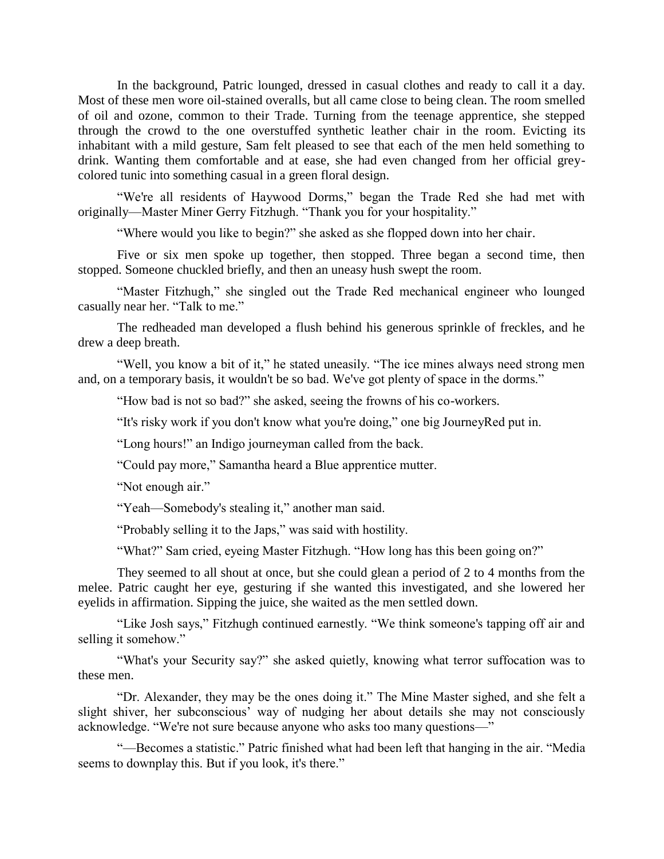In the background, Patric lounged, dressed in casual clothes and ready to call it a day. Most of these men wore oil-stained overalls, but all came close to being clean. The room smelled of oil and ozone, common to their Trade. Turning from the teenage apprentice, she stepped through the crowd to the one overstuffed synthetic leather chair in the room. Evicting its inhabitant with a mild gesture, Sam felt pleased to see that each of the men held something to drink. Wanting them comfortable and at ease, she had even changed from her official greycolored tunic into something casual in a green floral design.

"We're all residents of Haywood Dorms," began the Trade Red she had met with originally—Master Miner Gerry Fitzhugh. "Thank you for your hospitality."

"Where would you like to begin?" she asked as she flopped down into her chair.

Five or six men spoke up together, then stopped. Three began a second time, then stopped. Someone chuckled briefly, and then an uneasy hush swept the room.

"Master Fitzhugh," she singled out the Trade Red mechanical engineer who lounged casually near her. "Talk to me."

The redheaded man developed a flush behind his generous sprinkle of freckles, and he drew a deep breath.

"Well, you know a bit of it," he stated uneasily. "The ice mines always need strong men and, on a temporary basis, it wouldn't be so bad. We've got plenty of space in the dorms."

"How bad is not so bad?" she asked, seeing the frowns of his co-workers.

"It's risky work if you don't know what you're doing," one big JourneyRed put in.

"Long hours!" an Indigo journeyman called from the back.

"Could pay more," Samantha heard a Blue apprentice mutter.

"Not enough air."

"Yeah—Somebody's stealing it," another man said.

"Probably selling it to the Japs," was said with hostility.

"What?" Sam cried, eyeing Master Fitzhugh. "How long has this been going on?"

They seemed to all shout at once, but she could glean a period of 2 to 4 months from the melee. Patric caught her eye, gesturing if she wanted this investigated, and she lowered her eyelids in affirmation. Sipping the juice, she waited as the men settled down.

"Like Josh says," Fitzhugh continued earnestly. "We think someone's tapping off air and selling it somehow."

"What's your Security say?" she asked quietly, knowing what terror suffocation was to these men.

"Dr. Alexander, they may be the ones doing it." The Mine Master sighed, and she felt a slight shiver, her subconscious' way of nudging her about details she may not consciously acknowledge. "We're not sure because anyone who asks too many questions—"

"—Becomes a statistic." Patric finished what had been left that hanging in the air. "Media seems to downplay this. But if you look, it's there."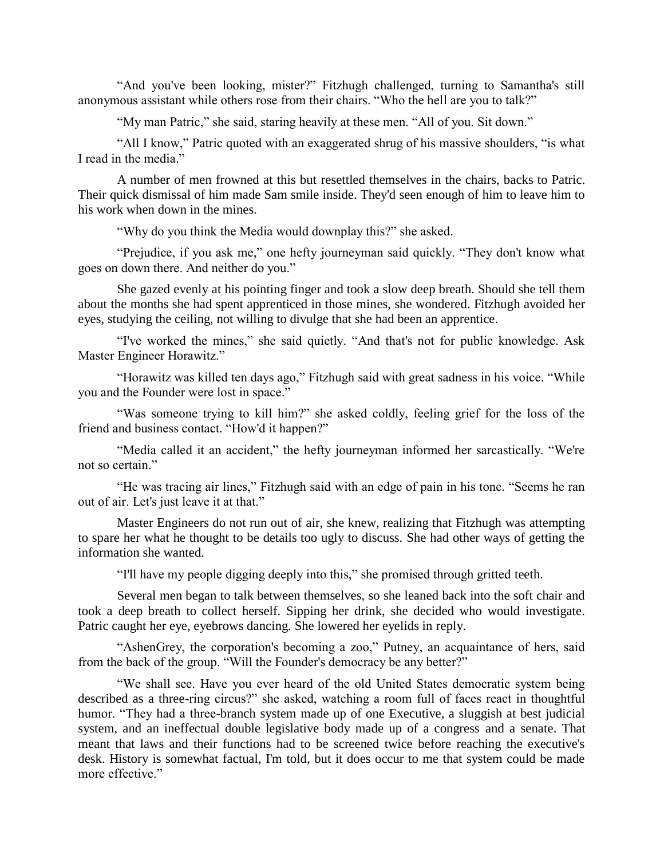"And you've been looking, mister?" Fitzhugh challenged, turning to Samantha's still anonymous assistant while others rose from their chairs. "Who the hell are you to talk?"

"My man Patric," she said, staring heavily at these men. "All of you. Sit down."

"All I know," Patric quoted with an exaggerated shrug of his massive shoulders, "is what I read in the media."

A number of men frowned at this but resettled themselves in the chairs, backs to Patric. Their quick dismissal of him made Sam smile inside. They'd seen enough of him to leave him to his work when down in the mines.

"Why do you think the Media would downplay this?" she asked.

"Prejudice, if you ask me," one hefty journeyman said quickly. "They don't know what goes on down there. And neither do you."

She gazed evenly at his pointing finger and took a slow deep breath. Should she tell them about the months she had spent apprenticed in those mines, she wondered. Fitzhugh avoided her eyes, studying the ceiling, not willing to divulge that she had been an apprentice.

"I've worked the mines," she said quietly. "And that's not for public knowledge. Ask Master Engineer Horawitz."

"Horawitz was killed ten days ago," Fitzhugh said with great sadness in his voice. "While you and the Founder were lost in space."

"Was someone trying to kill him?" she asked coldly, feeling grief for the loss of the friend and business contact. "How'd it happen?"

"Media called it an accident," the hefty journeyman informed her sarcastically. "We're not so certain."

"He was tracing air lines," Fitzhugh said with an edge of pain in his tone. "Seems he ran out of air. Let's just leave it at that."

Master Engineers do not run out of air, she knew, realizing that Fitzhugh was attempting to spare her what he thought to be details too ugly to discuss. She had other ways of getting the information she wanted.

"I'll have my people digging deeply into this," she promised through gritted teeth.

Several men began to talk between themselves, so she leaned back into the soft chair and took a deep breath to collect herself. Sipping her drink, she decided who would investigate. Patric caught her eye, eyebrows dancing. She lowered her eyelids in reply.

"AshenGrey, the corporation's becoming a zoo," Putney, an acquaintance of hers, said from the back of the group. "Will the Founder's democracy be any better?"

"We shall see. Have you ever heard of the old United States democratic system being described as a three-ring circus?" she asked, watching a room full of faces react in thoughtful humor. "They had a three-branch system made up of one Executive, a sluggish at best judicial system, and an ineffectual double legislative body made up of a congress and a senate. That meant that laws and their functions had to be screened twice before reaching the executive's desk. History is somewhat factual, I'm told, but it does occur to me that system could be made more effective."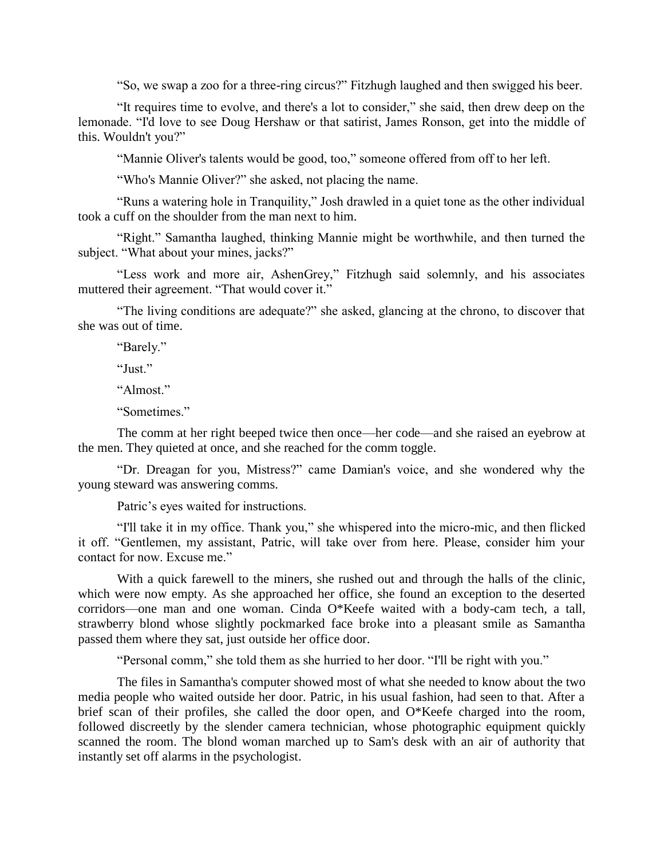"So, we swap a zoo for a three-ring circus?" Fitzhugh laughed and then swigged his beer.

"It requires time to evolve, and there's a lot to consider," she said, then drew deep on the lemonade. "I'd love to see Doug Hershaw or that satirist, James Ronson, get into the middle of this. Wouldn't you?"

"Mannie Oliver's talents would be good, too," someone offered from off to her left.

"Who's Mannie Oliver?" she asked, not placing the name.

"Runs a watering hole in Tranquility," Josh drawled in a quiet tone as the other individual took a cuff on the shoulder from the man next to him.

"Right." Samantha laughed, thinking Mannie might be worthwhile, and then turned the subject. "What about your mines, jacks?"

"Less work and more air, AshenGrey," Fitzhugh said solemnly, and his associates muttered their agreement. "That would cover it."

"The living conditions are adequate?" she asked, glancing at the chrono, to discover that she was out of time.

"Barely."

"Just."

"Almost."

"Sometimes."

The comm at her right beeped twice then once—her code—and she raised an eyebrow at the men. They quieted at once, and she reached for the comm toggle.

"Dr. Dreagan for you, Mistress?" came Damian's voice, and she wondered why the young steward was answering comms.

Patric's eyes waited for instructions.

"I'll take it in my office. Thank you," she whispered into the micro-mic, and then flicked it off. "Gentlemen, my assistant, Patric, will take over from here. Please, consider him your contact for now. Excuse me."

With a quick farewell to the miners, she rushed out and through the halls of the clinic, which were now empty. As she approached her office, she found an exception to the deserted corridors—one man and one woman. Cinda O\*Keefe waited with a body-cam tech, a tall, strawberry blond whose slightly pockmarked face broke into a pleasant smile as Samantha passed them where they sat, just outside her office door.

"Personal comm," she told them as she hurried to her door. "I'll be right with you."

The files in Samantha's computer showed most of what she needed to know about the two media people who waited outside her door. Patric, in his usual fashion, had seen to that. After a brief scan of their profiles, she called the door open, and O\*Keefe charged into the room, followed discreetly by the slender camera technician, whose photographic equipment quickly scanned the room. The blond woman marched up to Sam's desk with an air of authority that instantly set off alarms in the psychologist.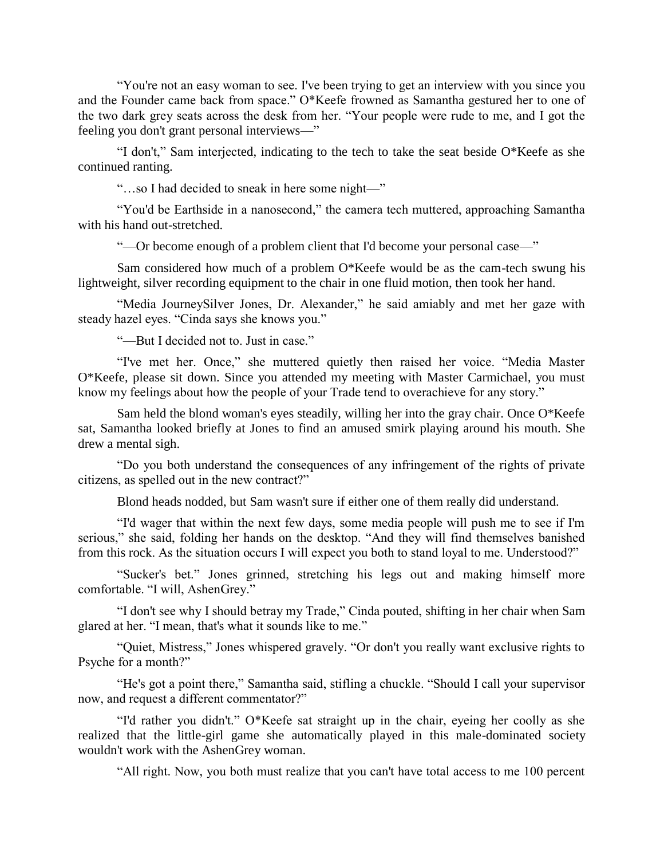"You're not an easy woman to see. I've been trying to get an interview with you since you and the Founder came back from space." O\*Keefe frowned as Samantha gestured her to one of the two dark grey seats across the desk from her. "Your people were rude to me, and I got the feeling you don't grant personal interviews—"

"I don't," Sam interjected, indicating to the tech to take the seat beside O\*Keefe as she continued ranting.

"…so I had decided to sneak in here some night—"

"You'd be Earthside in a nanosecond," the camera tech muttered, approaching Samantha with his hand out-stretched.

"—Or become enough of a problem client that I'd become your personal case—"

Sam considered how much of a problem O\*Keefe would be as the cam-tech swung his lightweight, silver recording equipment to the chair in one fluid motion, then took her hand.

"Media JourneySilver Jones, Dr. Alexander," he said amiably and met her gaze with steady hazel eyes. "Cinda says she knows you."

"—But I decided not to. Just in case."

"I've met her. Once," she muttered quietly then raised her voice. "Media Master O\*Keefe, please sit down. Since you attended my meeting with Master Carmichael, you must know my feelings about how the people of your Trade tend to overachieve for any story."

Sam held the blond woman's eyes steadily, willing her into the gray chair. Once O\*Keefe sat, Samantha looked briefly at Jones to find an amused smirk playing around his mouth. She drew a mental sigh.

"Do you both understand the consequences of any infringement of the rights of private citizens, as spelled out in the new contract?"

Blond heads nodded, but Sam wasn't sure if either one of them really did understand.

"I'd wager that within the next few days, some media people will push me to see if I'm serious," she said, folding her hands on the desktop. "And they will find themselves banished from this rock. As the situation occurs I will expect you both to stand loyal to me. Understood?"

"Sucker's bet." Jones grinned, stretching his legs out and making himself more comfortable. "I will, AshenGrey."

"I don't see why I should betray my Trade," Cinda pouted, shifting in her chair when Sam glared at her. "I mean, that's what it sounds like to me."

"Quiet, Mistress," Jones whispered gravely. "Or don't you really want exclusive rights to Psyche for a month?"

"He's got a point there," Samantha said, stifling a chuckle. "Should I call your supervisor now, and request a different commentator?"

"I'd rather you didn't." O\*Keefe sat straight up in the chair, eyeing her coolly as she realized that the little-girl game she automatically played in this male-dominated society wouldn't work with the AshenGrey woman.

"All right. Now, you both must realize that you can't have total access to me 100 percent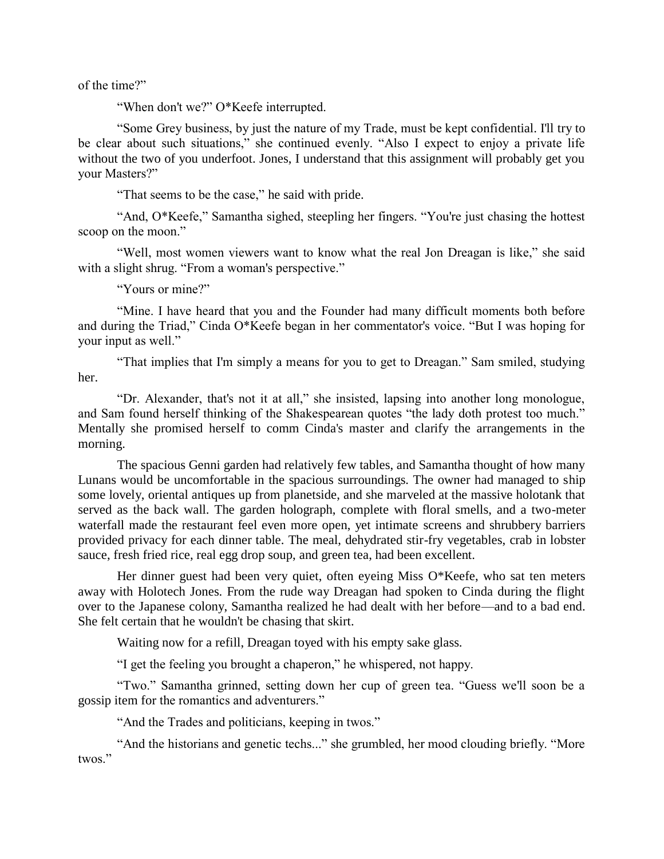of the time?"

"When don't we?" O\*Keefe interrupted.

"Some Grey business, by just the nature of my Trade, must be kept confidential. I'll try to be clear about such situations," she continued evenly. "Also I expect to enjoy a private life without the two of you underfoot. Jones, I understand that this assignment will probably get you your Masters?"

"That seems to be the case," he said with pride.

"And, O\*Keefe," Samantha sighed, steepling her fingers. "You're just chasing the hottest scoop on the moon."

"Well, most women viewers want to know what the real Jon Dreagan is like," she said with a slight shrug. "From a woman's perspective."

"Yours or mine?"

"Mine. I have heard that you and the Founder had many difficult moments both before and during the Triad," Cinda O\*Keefe began in her commentator's voice. "But I was hoping for your input as well."

"That implies that I'm simply a means for you to get to Dreagan." Sam smiled, studying her.

"Dr. Alexander, that's not it at all," she insisted, lapsing into another long monologue, and Sam found herself thinking of the Shakespearean quotes "the lady doth protest too much." Mentally she promised herself to comm Cinda's master and clarify the arrangements in the morning.

The spacious Genni garden had relatively few tables, and Samantha thought of how many Lunans would be uncomfortable in the spacious surroundings. The owner had managed to ship some lovely, oriental antiques up from planetside, and she marveled at the massive holotank that served as the back wall. The garden holograph, complete with floral smells, and a two-meter waterfall made the restaurant feel even more open, yet intimate screens and shrubbery barriers provided privacy for each dinner table. The meal, dehydrated stir-fry vegetables, crab in lobster sauce, fresh fried rice, real egg drop soup, and green tea, had been excellent.

Her dinner guest had been very quiet, often eyeing Miss O\*Keefe, who sat ten meters away with Holotech Jones. From the rude way Dreagan had spoken to Cinda during the flight over to the Japanese colony, Samantha realized he had dealt with her before—and to a bad end. She felt certain that he wouldn't be chasing that skirt.

Waiting now for a refill, Dreagan toyed with his empty sake glass.

"I get the feeling you brought a chaperon," he whispered, not happy.

"Two." Samantha grinned, setting down her cup of green tea. "Guess we'll soon be a gossip item for the romantics and adventurers."

"And the Trades and politicians, keeping in twos."

"And the historians and genetic techs..." she grumbled, her mood clouding briefly. "More twos."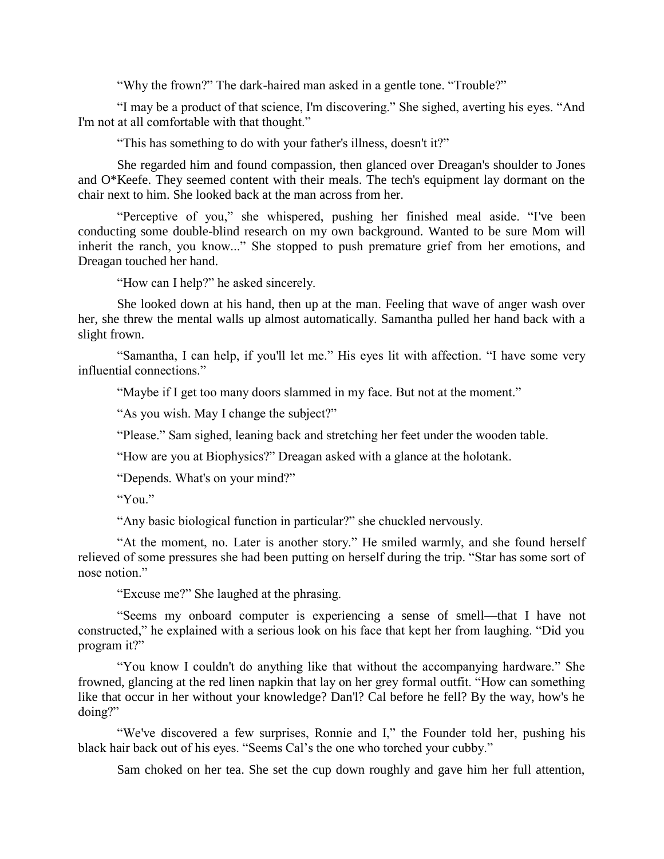"Why the frown?" The dark-haired man asked in a gentle tone. "Trouble?"

"I may be a product of that science, I'm discovering." She sighed, averting his eyes. "And I'm not at all comfortable with that thought."

"This has something to do with your father's illness, doesn't it?"

She regarded him and found compassion, then glanced over Dreagan's shoulder to Jones and O\*Keefe. They seemed content with their meals. The tech's equipment lay dormant on the chair next to him. She looked back at the man across from her.

"Perceptive of you," she whispered, pushing her finished meal aside. "I've been conducting some double-blind research on my own background. Wanted to be sure Mom will inherit the ranch, you know..." She stopped to push premature grief from her emotions, and Dreagan touched her hand.

"How can I help?" he asked sincerely.

She looked down at his hand, then up at the man. Feeling that wave of anger wash over her, she threw the mental walls up almost automatically. Samantha pulled her hand back with a slight frown.

"Samantha, I can help, if you'll let me." His eyes lit with affection. "I have some very influential connections."

"Maybe if I get too many doors slammed in my face. But not at the moment."

"As you wish. May I change the subject?"

"Please." Sam sighed, leaning back and stretching her feet under the wooden table.

"How are you at Biophysics?" Dreagan asked with a glance at the holotank.

"Depends. What's on your mind?"

" $'Y_{01}$ "

"Any basic biological function in particular?" she chuckled nervously.

"At the moment, no. Later is another story." He smiled warmly, and she found herself relieved of some pressures she had been putting on herself during the trip. "Star has some sort of nose notion."

"Excuse me?" She laughed at the phrasing.

"Seems my onboard computer is experiencing a sense of smell—that I have not constructed," he explained with a serious look on his face that kept her from laughing. "Did you program it?"

"You know I couldn't do anything like that without the accompanying hardware." She frowned, glancing at the red linen napkin that lay on her grey formal outfit. "How can something like that occur in her without your knowledge? Dan'l? Cal before he fell? By the way, how's he doing?"

"We've discovered a few surprises, Ronnie and I," the Founder told her, pushing his black hair back out of his eyes. "Seems Cal's the one who torched your cubby."

Sam choked on her tea. She set the cup down roughly and gave him her full attention,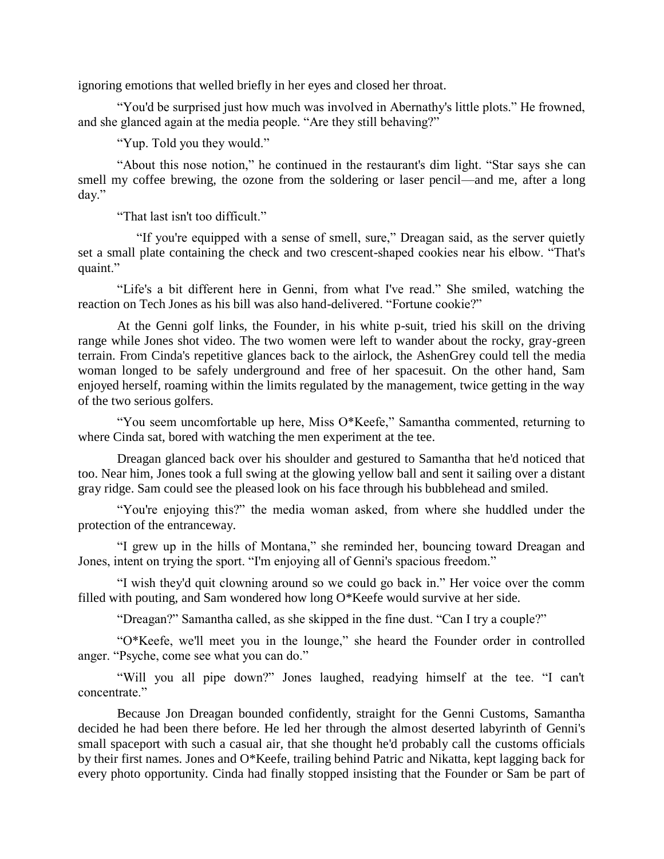ignoring emotions that welled briefly in her eyes and closed her throat.

"You'd be surprised just how much was involved in Abernathy's little plots." He frowned, and she glanced again at the media people. "Are they still behaving?"

"Yup. Told you they would."

"About this nose notion," he continued in the restaurant's dim light. "Star says she can smell my coffee brewing, the ozone from the soldering or laser pencil—and me, after a long day."

"That last isn't too difficult."

 "If you're equipped with a sense of smell, sure," Dreagan said, as the server quietly set a small plate containing the check and two crescent-shaped cookies near his elbow. "That's quaint."

"Life's a bit different here in Genni, from what I've read." She smiled, watching the reaction on Tech Jones as his bill was also hand-delivered. "Fortune cookie?"

At the Genni golf links, the Founder, in his white p-suit, tried his skill on the driving range while Jones shot video. The two women were left to wander about the rocky, gray-green terrain. From Cinda's repetitive glances back to the airlock, the AshenGrey could tell the media woman longed to be safely underground and free of her spacesuit. On the other hand, Sam enjoyed herself, roaming within the limits regulated by the management, twice getting in the way of the two serious golfers.

"You seem uncomfortable up here, Miss O\*Keefe," Samantha commented, returning to where Cinda sat, bored with watching the men experiment at the tee.

Dreagan glanced back over his shoulder and gestured to Samantha that he'd noticed that too. Near him, Jones took a full swing at the glowing yellow ball and sent it sailing over a distant gray ridge. Sam could see the pleased look on his face through his bubblehead and smiled.

"You're enjoying this?" the media woman asked, from where she huddled under the protection of the entranceway.

"I grew up in the hills of Montana," she reminded her, bouncing toward Dreagan and Jones, intent on trying the sport. "I'm enjoying all of Genni's spacious freedom."

"I wish they'd quit clowning around so we could go back in." Her voice over the comm filled with pouting, and Sam wondered how long O\*Keefe would survive at her side.

"Dreagan?" Samantha called, as she skipped in the fine dust. "Can I try a couple?"

"O\*Keefe, we'll meet you in the lounge," she heard the Founder order in controlled anger. "Psyche, come see what you can do."

"Will you all pipe down?" Jones laughed, readying himself at the tee. "I can't concentrate."

Because Jon Dreagan bounded confidently, straight for the Genni Customs, Samantha decided he had been there before. He led her through the almost deserted labyrinth of Genni's small spaceport with such a casual air, that she thought he'd probably call the customs officials by their first names. Jones and O\*Keefe, trailing behind Patric and Nikatta, kept lagging back for every photo opportunity. Cinda had finally stopped insisting that the Founder or Sam be part of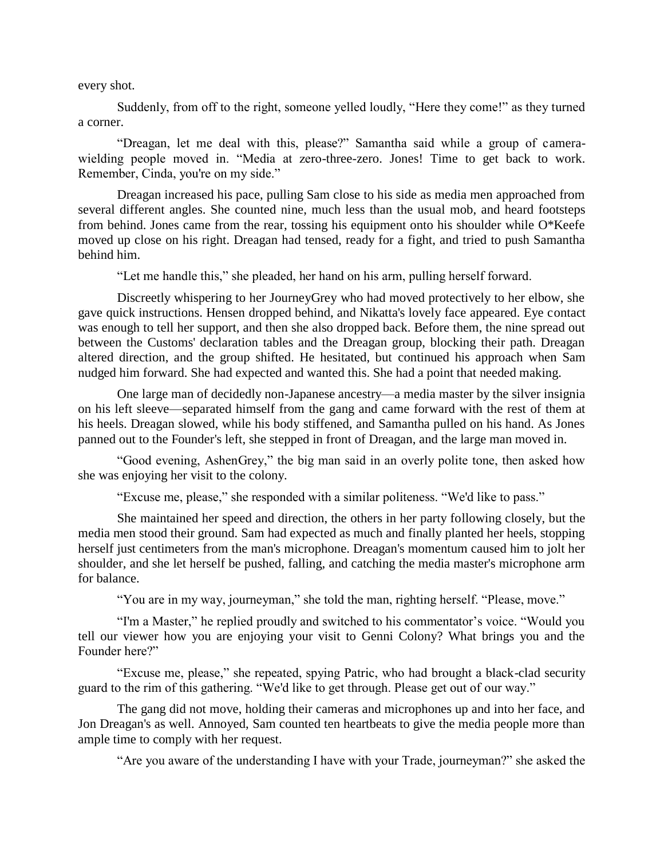every shot.

Suddenly, from off to the right, someone yelled loudly, "Here they come!" as they turned a corner.

"Dreagan, let me deal with this, please?" Samantha said while a group of camerawielding people moved in. "Media at zero-three-zero. Jones! Time to get back to work. Remember, Cinda, you're on my side."

Dreagan increased his pace, pulling Sam close to his side as media men approached from several different angles. She counted nine, much less than the usual mob, and heard footsteps from behind. Jones came from the rear, tossing his equipment onto his shoulder while O\*Keefe moved up close on his right. Dreagan had tensed, ready for a fight, and tried to push Samantha behind him.

"Let me handle this," she pleaded, her hand on his arm, pulling herself forward.

Discreetly whispering to her JourneyGrey who had moved protectively to her elbow, she gave quick instructions. Hensen dropped behind, and Nikatta's lovely face appeared. Eye contact was enough to tell her support, and then she also dropped back. Before them, the nine spread out between the Customs' declaration tables and the Dreagan group, blocking their path. Dreagan altered direction, and the group shifted. He hesitated, but continued his approach when Sam nudged him forward. She had expected and wanted this. She had a point that needed making.

One large man of decidedly non-Japanese ancestry—a media master by the silver insignia on his left sleeve—separated himself from the gang and came forward with the rest of them at his heels. Dreagan slowed, while his body stiffened, and Samantha pulled on his hand. As Jones panned out to the Founder's left, she stepped in front of Dreagan, and the large man moved in.

"Good evening, AshenGrey," the big man said in an overly polite tone, then asked how she was enjoying her visit to the colony.

"Excuse me, please," she responded with a similar politeness. "We'd like to pass."

She maintained her speed and direction, the others in her party following closely, but the media men stood their ground. Sam had expected as much and finally planted her heels, stopping herself just centimeters from the man's microphone. Dreagan's momentum caused him to jolt her shoulder, and she let herself be pushed, falling, and catching the media master's microphone arm for balance.

"You are in my way, journeyman," she told the man, righting herself. "Please, move."

"I'm a Master," he replied proudly and switched to his commentator's voice. "Would you tell our viewer how you are enjoying your visit to Genni Colony? What brings you and the Founder here?"

"Excuse me, please," she repeated, spying Patric, who had brought a black-clad security guard to the rim of this gathering. "We'd like to get through. Please get out of our way."

The gang did not move, holding their cameras and microphones up and into her face, and Jon Dreagan's as well. Annoyed, Sam counted ten heartbeats to give the media people more than ample time to comply with her request.

"Are you aware of the understanding I have with your Trade, journeyman?" she asked the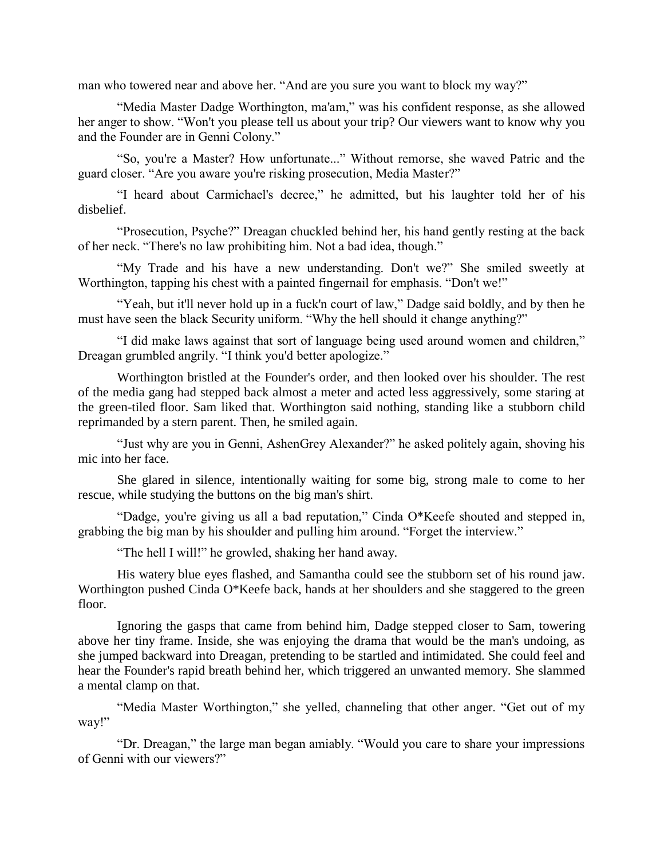man who towered near and above her. "And are you sure you want to block my way?"

"Media Master Dadge Worthington, ma'am," was his confident response, as she allowed her anger to show. "Won't you please tell us about your trip? Our viewers want to know why you and the Founder are in Genni Colony."

"So, you're a Master? How unfortunate..." Without remorse, she waved Patric and the guard closer. "Are you aware you're risking prosecution, Media Master?"

"I heard about Carmichael's decree," he admitted, but his laughter told her of his disbelief.

"Prosecution, Psyche?" Dreagan chuckled behind her, his hand gently resting at the back of her neck. "There's no law prohibiting him. Not a bad idea, though."

"My Trade and his have a new understanding. Don't we?" She smiled sweetly at Worthington, tapping his chest with a painted fingernail for emphasis. "Don't we!"

"Yeah, but it'll never hold up in a fuck'n court of law," Dadge said boldly, and by then he must have seen the black Security uniform. "Why the hell should it change anything?"

"I did make laws against that sort of language being used around women and children," Dreagan grumbled angrily. "I think you'd better apologize."

Worthington bristled at the Founder's order, and then looked over his shoulder. The rest of the media gang had stepped back almost a meter and acted less aggressively, some staring at the green-tiled floor. Sam liked that. Worthington said nothing, standing like a stubborn child reprimanded by a stern parent. Then, he smiled again.

"Just why are you in Genni, AshenGrey Alexander?" he asked politely again, shoving his mic into her face.

She glared in silence, intentionally waiting for some big, strong male to come to her rescue, while studying the buttons on the big man's shirt.

"Dadge, you're giving us all a bad reputation," Cinda O\*Keefe shouted and stepped in, grabbing the big man by his shoulder and pulling him around. "Forget the interview."

"The hell I will!" he growled, shaking her hand away.

His watery blue eyes flashed, and Samantha could see the stubborn set of his round jaw. Worthington pushed Cinda O\*Keefe back, hands at her shoulders and she staggered to the green floor.

Ignoring the gasps that came from behind him, Dadge stepped closer to Sam, towering above her tiny frame. Inside, she was enjoying the drama that would be the man's undoing, as she jumped backward into Dreagan, pretending to be startled and intimidated. She could feel and hear the Founder's rapid breath behind her, which triggered an unwanted memory. She slammed a mental clamp on that.

"Media Master Worthington," she yelled, channeling that other anger. "Get out of my way!"

"Dr. Dreagan," the large man began amiably. "Would you care to share your impressions of Genni with our viewers?"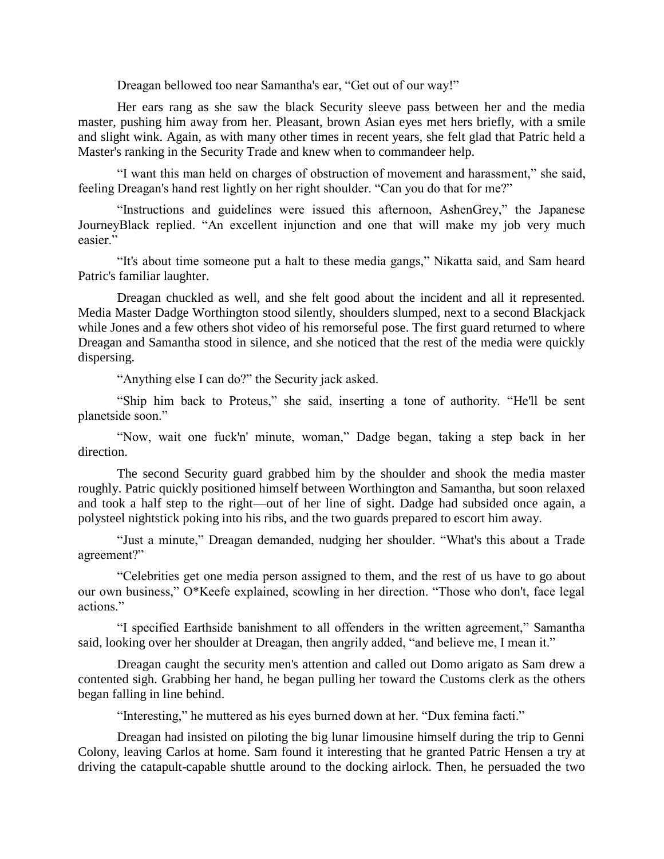Dreagan bellowed too near Samantha's ear, "Get out of our way!"

Her ears rang as she saw the black Security sleeve pass between her and the media master, pushing him away from her. Pleasant, brown Asian eyes met hers briefly, with a smile and slight wink. Again, as with many other times in recent years, she felt glad that Patric held a Master's ranking in the Security Trade and knew when to commandeer help.

"I want this man held on charges of obstruction of movement and harassment," she said, feeling Dreagan's hand rest lightly on her right shoulder. "Can you do that for me?"

"Instructions and guidelines were issued this afternoon, AshenGrey," the Japanese JourneyBlack replied. "An excellent injunction and one that will make my job very much easier."

"It's about time someone put a halt to these media gangs," Nikatta said, and Sam heard Patric's familiar laughter.

Dreagan chuckled as well, and she felt good about the incident and all it represented. Media Master Dadge Worthington stood silently, shoulders slumped, next to a second Blackjack while Jones and a few others shot video of his remorseful pose. The first guard returned to where Dreagan and Samantha stood in silence, and she noticed that the rest of the media were quickly dispersing.

"Anything else I can do?" the Security jack asked.

"Ship him back to Proteus," she said, inserting a tone of authority. "He'll be sent planetside soon."

"Now, wait one fuck'n' minute, woman," Dadge began, taking a step back in her direction.

The second Security guard grabbed him by the shoulder and shook the media master roughly. Patric quickly positioned himself between Worthington and Samantha, but soon relaxed and took a half step to the right—out of her line of sight. Dadge had subsided once again, a polysteel nightstick poking into his ribs, and the two guards prepared to escort him away.

"Just a minute," Dreagan demanded, nudging her shoulder. "What's this about a Trade agreement?"

"Celebrities get one media person assigned to them, and the rest of us have to go about our own business," O\*Keefe explained, scowling in her direction. "Those who don't, face legal actions."

"I specified Earthside banishment to all offenders in the written agreement," Samantha said, looking over her shoulder at Dreagan, then angrily added, "and believe me, I mean it."

Dreagan caught the security men's attention and called out Domo arigato as Sam drew a contented sigh. Grabbing her hand, he began pulling her toward the Customs clerk as the others began falling in line behind.

"Interesting," he muttered as his eyes burned down at her. "Dux femina facti."

Dreagan had insisted on piloting the big lunar limousine himself during the trip to Genni Colony, leaving Carlos at home. Sam found it interesting that he granted Patric Hensen a try at driving the catapult-capable shuttle around to the docking airlock. Then, he persuaded the two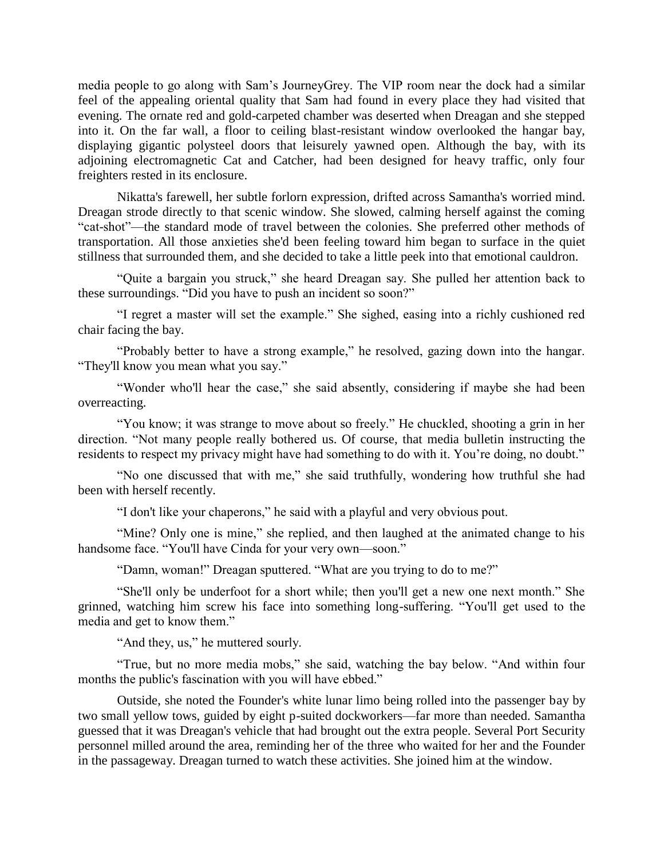media people to go along with Sam's JourneyGrey. The VIP room near the dock had a similar feel of the appealing oriental quality that Sam had found in every place they had visited that evening. The ornate red and gold-carpeted chamber was deserted when Dreagan and she stepped into it. On the far wall, a floor to ceiling blast-resistant window overlooked the hangar bay, displaying gigantic polysteel doors that leisurely yawned open. Although the bay, with its adjoining electromagnetic Cat and Catcher, had been designed for heavy traffic, only four freighters rested in its enclosure.

Nikatta's farewell, her subtle forlorn expression, drifted across Samantha's worried mind. Dreagan strode directly to that scenic window. She slowed, calming herself against the coming "cat-shot"—the standard mode of travel between the colonies. She preferred other methods of transportation. All those anxieties she'd been feeling toward him began to surface in the quiet stillness that surrounded them, and she decided to take a little peek into that emotional cauldron.

"Quite a bargain you struck," she heard Dreagan say. She pulled her attention back to these surroundings. "Did you have to push an incident so soon?"

"I regret a master will set the example." She sighed, easing into a richly cushioned red chair facing the bay.

"Probably better to have a strong example," he resolved, gazing down into the hangar. "They'll know you mean what you say."

"Wonder who'll hear the case," she said absently, considering if maybe she had been overreacting.

"You know; it was strange to move about so freely." He chuckled, shooting a grin in her direction. "Not many people really bothered us. Of course, that media bulletin instructing the residents to respect my privacy might have had something to do with it. You're doing, no doubt."

"No one discussed that with me," she said truthfully, wondering how truthful she had been with herself recently.

"I don't like your chaperons," he said with a playful and very obvious pout.

"Mine? Only one is mine," she replied, and then laughed at the animated change to his handsome face. "You'll have Cinda for your very own—soon."

"Damn, woman!" Dreagan sputtered. "What are you trying to do to me?"

"She'll only be underfoot for a short while; then you'll get a new one next month." She grinned, watching him screw his face into something long-suffering. "You'll get used to the media and get to know them."

"And they, us," he muttered sourly.

"True, but no more media mobs," she said, watching the bay below. "And within four months the public's fascination with you will have ebbed."

Outside, she noted the Founder's white lunar limo being rolled into the passenger bay by two small yellow tows, guided by eight p-suited dockworkers—far more than needed. Samantha guessed that it was Dreagan's vehicle that had brought out the extra people. Several Port Security personnel milled around the area, reminding her of the three who waited for her and the Founder in the passageway. Dreagan turned to watch these activities. She joined him at the window.